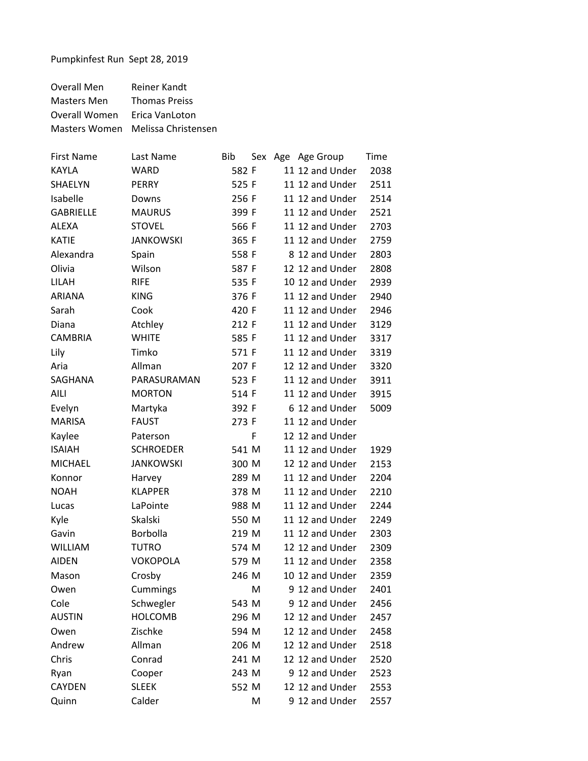Overall Men Reiner Kandt Masters Men Thomas Preiss Overall Women Erica VanLoton Masters Women Melissa Christensen

| <b>First Name</b> | Last Name        | <b>Bib</b><br>Sex | Age Age Group   | Time |
|-------------------|------------------|-------------------|-----------------|------|
| <b>KAYLA</b>      | WARD             | 582 F             | 11 12 and Under | 2038 |
| SHAELYN           | <b>PERRY</b>     | 525 F             | 11 12 and Under | 2511 |
| Isabelle          | Downs            | 256 F             | 11 12 and Under | 2514 |
| <b>GABRIELLE</b>  | <b>MAURUS</b>    | 399 F             | 11 12 and Under | 2521 |
| <b>ALEXA</b>      | <b>STOVEL</b>    | 566 F             | 11 12 and Under | 2703 |
| <b>KATIE</b>      | <b>JANKOWSKI</b> | 365 F             | 11 12 and Under | 2759 |
| Alexandra         | Spain            | 558 F             | 8 12 and Under  | 2803 |
| Olivia            | Wilson           | 587 F             | 12 12 and Under | 2808 |
| LILAH             | <b>RIFE</b>      | 535 F             | 10 12 and Under | 2939 |
| <b>ARIANA</b>     | <b>KING</b>      | 376 F             | 11 12 and Under | 2940 |
| Sarah             | Cook             | 420 F             | 11 12 and Under | 2946 |
| Diana             | Atchley          | 212 F             | 11 12 and Under | 3129 |
| <b>CAMBRIA</b>    | <b>WHITE</b>     | 585 F             | 11 12 and Under | 3317 |
| Lily              | Timko            | 571 F             | 11 12 and Under | 3319 |
| Aria              | Allman           | 207 F             | 12 12 and Under | 3320 |
| SAGHANA           | PARASURAMAN      | 523 F             | 11 12 and Under | 3911 |
| AILI              | <b>MORTON</b>    | 514 F             | 11 12 and Under | 3915 |
| Evelyn            | Martyka          | 392 F             | 6 12 and Under  | 5009 |
| <b>MARISA</b>     | <b>FAUST</b>     | 273 F             | 11 12 and Under |      |
| Kaylee            | Paterson         | F                 | 12 12 and Under |      |
| <b>ISAIAH</b>     | <b>SCHROEDER</b> | 541 M             | 11 12 and Under | 1929 |
| <b>MICHAEL</b>    | <b>JANKOWSKI</b> | 300 M             | 12 12 and Under | 2153 |
| Konnor            | Harvey           | 289 M             | 11 12 and Under | 2204 |
| <b>NOAH</b>       | <b>KLAPPER</b>   | 378 M             | 11 12 and Under | 2210 |
| Lucas             | LaPointe         | 988 M             | 11 12 and Under | 2244 |
| Kyle              | Skalski          | 550 M             | 11 12 and Under | 2249 |
| Gavin             | Borbolla         | 219 M             | 11 12 and Under | 2303 |
| <b>WILLIAM</b>    | <b>TUTRO</b>     | 574 M             | 12 12 and Under | 2309 |
| <b>AIDEN</b>      | <b>VOKOPOLA</b>  | 579 M             | 11 12 and Under | 2358 |
| Mason             | Crosby           | 246 M             | 10 12 and Under | 2359 |
| Owen              | Cummings         | M                 | 9 12 and Under  | 2401 |
| Cole              | Schwegler        | 543 M             | 9 12 and Under  | 2456 |
| <b>AUSTIN</b>     | <b>HOLCOMB</b>   | 296 M             | 12 12 and Under | 2457 |
| Owen              | Zischke          | 594 M             | 12 12 and Under | 2458 |
| Andrew            | Allman           | 206 M             | 12 12 and Under | 2518 |
| Chris             | Conrad           | 241 M             | 12 12 and Under | 2520 |
| Ryan              | Cooper           | 243 M             | 9 12 and Under  | 2523 |
| <b>CAYDEN</b>     | <b>SLEEK</b>     | 552 M             | 12 12 and Under | 2553 |
| Quinn             | Calder           | M                 | 9 12 and Under  | 2557 |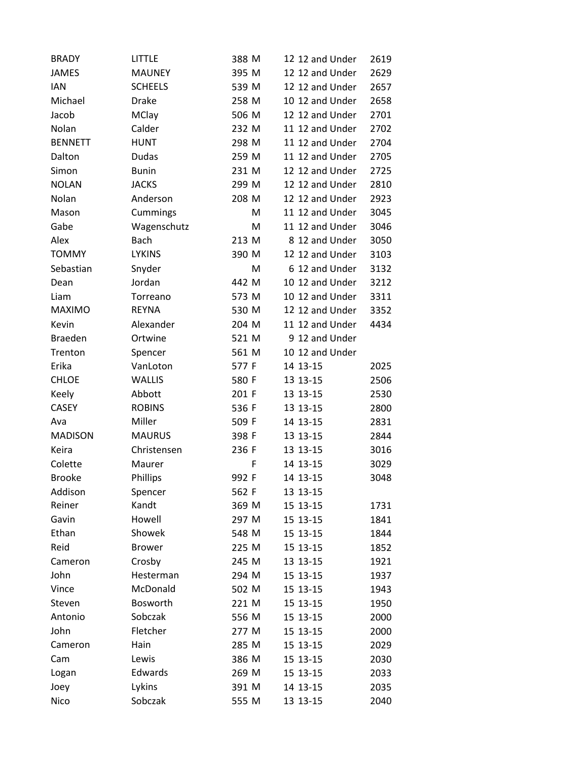| <b>BRADY</b>   | <b>LITTLE</b>  | 388 M | 12 12 and Under | 2619 |
|----------------|----------------|-------|-----------------|------|
| <b>JAMES</b>   | <b>MAUNEY</b>  | 395 M | 12 12 and Under | 2629 |
| <b>IAN</b>     | <b>SCHEELS</b> | 539 M | 12 12 and Under | 2657 |
| Michael        | <b>Drake</b>   | 258 M | 10 12 and Under | 2658 |
| Jacob          | <b>MClay</b>   | 506 M | 12 12 and Under | 2701 |
| Nolan          | Calder         | 232 M | 11 12 and Under | 2702 |
| <b>BENNETT</b> | <b>HUNT</b>    | 298 M | 11 12 and Under | 2704 |
| Dalton         | <b>Dudas</b>   | 259 M | 11 12 and Under | 2705 |
| Simon          | <b>Bunin</b>   | 231 M | 12 12 and Under | 2725 |
| <b>NOLAN</b>   | <b>JACKS</b>   | 299 M | 12 12 and Under | 2810 |
| Nolan          | Anderson       | 208 M | 12 12 and Under | 2923 |
| Mason          | Cummings       | M     | 11 12 and Under | 3045 |
| Gabe           | Wagenschutz    | M     | 11 12 and Under | 3046 |
| Alex           | <b>Bach</b>    | 213 M | 8 12 and Under  | 3050 |
| <b>TOMMY</b>   | <b>LYKINS</b>  | 390 M | 12 12 and Under | 3103 |
| Sebastian      | Snyder         | M     | 6 12 and Under  | 3132 |
| Dean           | Jordan         | 442 M | 10 12 and Under | 3212 |
| Liam           | Torreano       | 573 M | 10 12 and Under | 3311 |
| <b>MAXIMO</b>  | <b>REYNA</b>   | 530 M | 12 12 and Under | 3352 |
| Kevin          | Alexander      | 204 M | 11 12 and Under | 4434 |
| <b>Braeden</b> | Ortwine        | 521 M | 9 12 and Under  |      |
| Trenton        | Spencer        | 561 M | 10 12 and Under |      |
| Erika          | VanLoton       | 577 F | 14 13-15        | 2025 |
| <b>CHLOE</b>   | <b>WALLIS</b>  | 580 F | 13 13-15        | 2506 |
| Keely          | Abbott         | 201 F | 13 13-15        | 2530 |
| <b>CASEY</b>   | <b>ROBINS</b>  | 536 F | 13 13-15        | 2800 |
| Ava            | Miller         | 509 F | 14 13-15        | 2831 |
| <b>MADISON</b> | <b>MAURUS</b>  | 398 F | 13 13 - 15      | 2844 |
| Keira          | Christensen    | 236 F | 13 13-15        | 3016 |
| Colette        | Maurer         | F     | 14 13-15        | 3029 |
| <b>Brooke</b>  | Phillips       | 992 F | 14 13-15        | 3048 |
| Addison        | Spencer        | 562 F | 13 13-15        |      |
| Reiner         | Kandt          | 369 M | 15 13-15        | 1731 |
| Gavin          | Howell         | 297 M | 15 13-15        | 1841 |
| Ethan          | Showek         | 548 M | 15 13-15        | 1844 |
| Reid           | <b>Brower</b>  | 225 M | 15 13-15        | 1852 |
| Cameron        | Crosby         | 245 M | 13 13-15        | 1921 |
| John           | Hesterman      | 294 M | 15 13-15        | 1937 |
| Vince          | McDonald       | 502 M | 15 13-15        | 1943 |
| Steven         | Bosworth       | 221 M | 15 13-15        | 1950 |
| Antonio        | Sobczak        | 556 M | 15 13-15        | 2000 |
| John           | Fletcher       | 277 M | 15 13-15        | 2000 |
| Cameron        | Hain           | 285 M | 15 13-15        | 2029 |
| Cam            | Lewis          | 386 M | 15 13-15        | 2030 |
| Logan          | Edwards        | 269 M | 15 13-15        | 2033 |
| Joey           | Lykins         | 391 M | 14 13-15        | 2035 |
| Nico           | Sobczak        | 555 M | 13 13-15        | 2040 |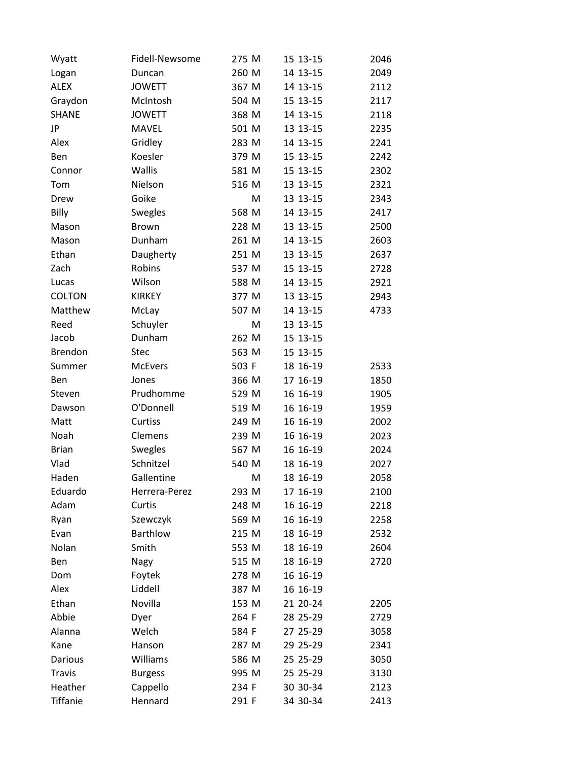| Wyatt           | Fidell-Newsome  | 275 M | 15 13-15 | 2046 |
|-----------------|-----------------|-------|----------|------|
| Logan           | Duncan          | 260 M | 14 13-15 | 2049 |
| <b>ALEX</b>     | <b>JOWETT</b>   | 367 M | 14 13-15 | 2112 |
| Graydon         | McIntosh        | 504 M | 15 13-15 | 2117 |
| <b>SHANE</b>    | <b>JOWETT</b>   | 368 M | 14 13-15 | 2118 |
| JP              | <b>MAVEL</b>    | 501 M | 13 13-15 | 2235 |
| Alex            | Gridley         | 283 M | 14 13-15 | 2241 |
| Ben             | Koesler         | 379 M | 15 13-15 | 2242 |
| Connor          | Wallis          | 581 M | 15 13-15 | 2302 |
| Tom             | Nielson         | 516 M | 13 13-15 | 2321 |
| Drew            | Goike           | M     | 13 13-15 | 2343 |
| Billy           | Swegles         | 568 M | 14 13-15 | 2417 |
| Mason           | <b>Brown</b>    | 228 M | 13 13-15 | 2500 |
| Mason           | Dunham          | 261 M | 14 13-15 | 2603 |
| Ethan           | Daugherty       | 251 M | 13 13-15 | 2637 |
| Zach            | Robins          | 537 M | 15 13-15 | 2728 |
| Lucas           | Wilson          | 588 M | 14 13-15 | 2921 |
| <b>COLTON</b>   | <b>KIRKEY</b>   | 377 M | 13 13-15 | 2943 |
| Matthew         | McLay           | 507 M | 14 13-15 | 4733 |
| Reed            | Schuyler        | M     | 13 13-15 |      |
| Jacob           | Dunham          | 262 M | 15 13-15 |      |
| <b>Brendon</b>  | <b>Stec</b>     | 563 M | 15 13-15 |      |
| Summer          | McEvers         | 503 F | 18 16-19 | 2533 |
| Ben             | Jones           | 366 M | 17 16-19 | 1850 |
| Steven          | Prudhomme       | 529 M | 16 16-19 | 1905 |
| Dawson          | O'Donnell       | 519 M | 16 16-19 | 1959 |
| Matt            | Curtiss         | 249 M | 16 16-19 | 2002 |
| Noah            | Clemens         | 239 M | 16 16-19 | 2023 |
| <b>Brian</b>    | Swegles         | 567 M | 16 16-19 | 2024 |
| Vlad            | Schnitzel       | 540 M | 18 16-19 | 2027 |
| Haden           | Gallentine      | M     | 18 16-19 | 2058 |
| Eduardo         | Herrera-Perez   | 293 M | 17 16-19 | 2100 |
| Adam            | Curtis          | 248 M | 16 16-19 | 2218 |
| Ryan            | Szewczyk        | 569 M | 16 16-19 | 2258 |
| Evan            | <b>Barthlow</b> | 215 M | 18 16-19 | 2532 |
| Nolan           | Smith           | 553 M | 18 16-19 | 2604 |
| Ben             | Nagy            | 515 M | 18 16-19 | 2720 |
| Dom             | Foytek          | 278 M | 16 16-19 |      |
| Alex            | Liddell         | 387 M | 16 16-19 |      |
| Ethan           | Novilla         | 153 M | 21 20-24 | 2205 |
| Abbie           | Dyer            | 264 F | 28 25-29 | 2729 |
| Alanna          | Welch           | 584 F | 27 25-29 | 3058 |
| Kane            | Hanson          | 287 M | 29 25-29 | 2341 |
| Darious         | Williams        | 586 M | 25 25-29 | 3050 |
| <b>Travis</b>   | <b>Burgess</b>  | 995 M | 25 25-29 | 3130 |
| Heather         | Cappello        | 234 F | 30 30-34 | 2123 |
| <b>Tiffanie</b> | Hennard         | 291 F | 34 30-34 | 2413 |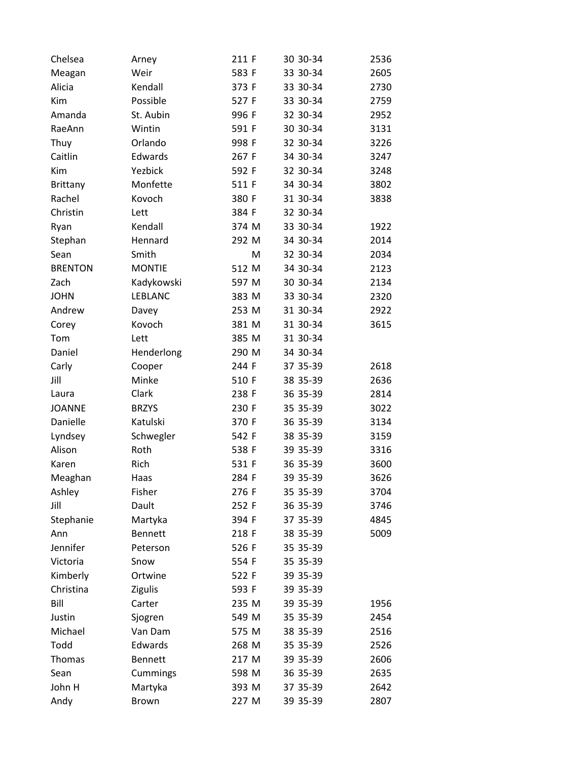| Chelsea         | Arney          | 211 F | 30 30-34 | 2536 |
|-----------------|----------------|-------|----------|------|
| Meagan          | Weir           | 583 F | 33 30-34 | 2605 |
| Alicia          | Kendall        | 373 F | 33 30-34 | 2730 |
| Kim             | Possible       | 527 F | 33 30-34 | 2759 |
| Amanda          | St. Aubin      | 996 F | 32 30-34 | 2952 |
| RaeAnn          | Wintin         | 591 F | 30 30-34 | 3131 |
| Thuy            | Orlando        | 998 F | 32 30-34 | 3226 |
| Caitlin         | Edwards        | 267 F | 34 30-34 | 3247 |
| Kim             | Yezbick        | 592 F | 32 30-34 | 3248 |
| <b>Brittany</b> | Monfette       | 511 F | 34 30-34 | 3802 |
| Rachel          | Kovoch         | 380 F | 31 30-34 | 3838 |
| Christin        | Lett           | 384 F | 32 30-34 |      |
| Ryan            | Kendall        | 374 M | 33 30-34 | 1922 |
| Stephan         | Hennard        | 292 M | 34 30-34 | 2014 |
| Sean            | Smith          | M     | 32 30-34 | 2034 |
| <b>BRENTON</b>  | <b>MONTIE</b>  | 512 M | 34 30-34 | 2123 |
| Zach            | Kadykowski     | 597 M | 30 30-34 | 2134 |
| <b>JOHN</b>     | <b>LEBLANC</b> | 383 M | 33 30-34 | 2320 |
| Andrew          | Davey          | 253 M | 31 30-34 | 2922 |
| Corey           | Kovoch         | 381 M | 31 30-34 | 3615 |
| Tom             | Lett           | 385 M | 31 30-34 |      |
| Daniel          | Henderlong     | 290 M | 34 30-34 |      |
| Carly           | Cooper         | 244 F | 37 35-39 | 2618 |
| Jill            | Minke          | 510 F | 38 35-39 | 2636 |
| Laura           | Clark          | 238 F | 36 35-39 | 2814 |
| <b>JOANNE</b>   | <b>BRZYS</b>   | 230 F | 35 35-39 | 3022 |
| Danielle        | Katulski       | 370 F | 36 35-39 | 3134 |
| Lyndsey         | Schwegler      | 542 F | 38 35-39 | 3159 |
| Alison          | Roth           | 538 F | 39 35-39 | 3316 |
| Karen           | Rich           | 531 F | 36 35-39 | 3600 |
| Meaghan         | Haas           | 284 F | 39 35-39 | 3626 |
| Ashley          | Fisher         | 276 F | 35 35-39 | 3704 |
| Jill            | Dault          | 252 F | 36 35-39 | 3746 |
| Stephanie       | Martyka        | 394 F | 37 35-39 | 4845 |
| Ann             | <b>Bennett</b> | 218 F | 38 35-39 | 5009 |
| Jennifer        | Peterson       | 526 F | 35 35-39 |      |
| Victoria        | Snow           | 554 F | 35 35-39 |      |
| Kimberly        | Ortwine        | 522 F | 39 35-39 |      |
| Christina       | <b>Zigulis</b> | 593 F | 39 35-39 |      |
| Bill            | Carter         | 235 M | 39 35-39 | 1956 |
| Justin          | Sjogren        | 549 M | 35 35-39 | 2454 |
| Michael         | Van Dam        | 575 M | 38 35-39 | 2516 |
| Todd            | Edwards        | 268 M | 35 35-39 | 2526 |
| Thomas          | <b>Bennett</b> | 217 M | 39 35-39 | 2606 |
| Sean            | Cummings       | 598 M | 36 35-39 | 2635 |
| John H          | Martyka        | 393 M | 37 35-39 | 2642 |
| Andy            | Brown          | 227 M | 39 35-39 | 2807 |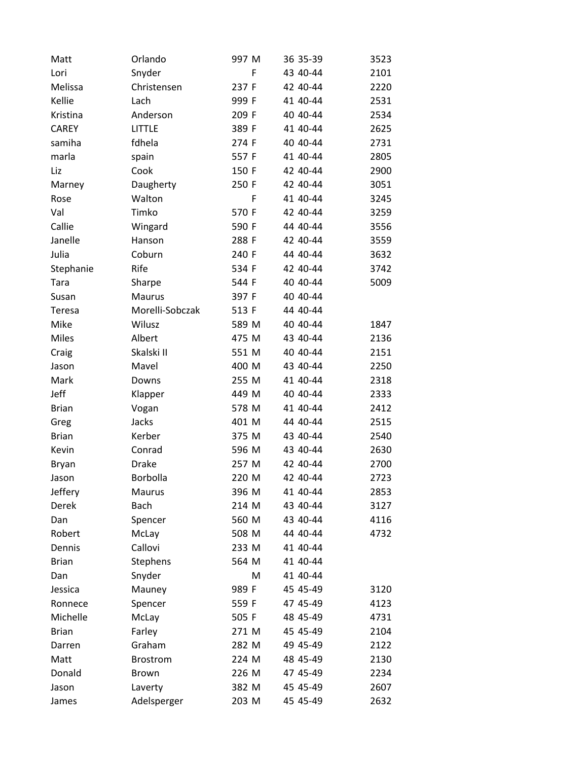| Matt          | Orlando         | 997 M | 36 35-39   | 3523 |
|---------------|-----------------|-------|------------|------|
| Lori          | Snyder          | F     | 43 40-44   | 2101 |
| Melissa       | Christensen     | 237 F | 42 40-44   | 2220 |
| Kellie        | Lach            | 999 F | 41 40-44   | 2531 |
| Kristina      | Anderson        | 209 F | 40 40 - 44 | 2534 |
| <b>CAREY</b>  | <b>LITTLE</b>   | 389 F | 41 40-44   | 2625 |
| samiha        | fdhela          | 274 F | 40 40-44   | 2731 |
| marla         | spain           | 557 F | 41 40-44   | 2805 |
| Liz           | Cook            | 150 F | 42 40-44   | 2900 |
| Marney        | Daugherty       | 250 F | 42 40-44   | 3051 |
| Rose          | Walton          | F     | 41 40-44   | 3245 |
| Val           | Timko           | 570 F | 42 40-44   | 3259 |
| Callie        | Wingard         | 590 F | 44 40-44   | 3556 |
| Janelle       | Hanson          | 288 F | 42 40-44   | 3559 |
| Julia         | Coburn          | 240 F | 44 40-44   | 3632 |
| Stephanie     | Rife            | 534 F | 42 40-44   | 3742 |
| Tara          | Sharpe          | 544 F | 40 40 - 44 | 5009 |
| Susan         | <b>Maurus</b>   | 397 F | 40 40 - 44 |      |
| <b>Teresa</b> | Morelli-Sobczak | 513 F | 44 40-44   |      |
| Mike          | Wilusz          | 589 M | 40 40-44   | 1847 |
| <b>Miles</b>  | Albert          | 475 M | 43 40-44   | 2136 |
| Craig         | Skalski II      | 551 M | 40 40-44   | 2151 |
| Jason         | Mavel           | 400 M | 43 40-44   | 2250 |
| Mark          | Downs           | 255 M | 41 40-44   | 2318 |
| Jeff          | Klapper         | 449 M | 40 40 - 44 | 2333 |
| <b>Brian</b>  | Vogan           | 578 M | 41 40-44   | 2412 |
| Greg          | Jacks           | 401 M | 44 40-44   | 2515 |
| <b>Brian</b>  | Kerber          | 375 M | 43 40-44   | 2540 |
| Kevin         | Conrad          | 596 M | 43 40-44   | 2630 |
| Bryan         | <b>Drake</b>    | 257 M | 42 40-44   | 2700 |
| Jason         | Borbolla        | 220 M | 42 40-44   | 2723 |
| Jeffery       | Maurus          | 396 M | 41 40-44   | 2853 |
| Derek         | <b>Bach</b>     | 214 M | 43 40-44   | 3127 |
| Dan           | Spencer         | 560 M | 43 40-44   | 4116 |
| Robert        | McLay           | 508 M | 44 40-44   | 4732 |
| Dennis        | Callovi         | 233 M | 41 40-44   |      |
| <b>Brian</b>  | Stephens        | 564 M | 41 40-44   |      |
| Dan           | Snyder          | M     | 41 40-44   |      |
| Jessica       | Mauney          | 989 F | 45 45-49   | 3120 |
| Ronnece       | Spencer         | 559 F | 47 45-49   | 4123 |
| Michelle      | McLay           | 505 F | 48 45-49   | 4731 |
| <b>Brian</b>  | Farley          | 271 M | 45 45-49   | 2104 |
| Darren        | Graham          | 282 M | 49 45-49   | 2122 |
| Matt          | <b>Brostrom</b> | 224 M | 48 45-49   | 2130 |
| Donald        | Brown           | 226 M | 47 45-49   | 2234 |
| Jason         | Laverty         | 382 M | 45 45-49   | 2607 |
| James         | Adelsperger     | 203 M | 45 45-49   | 2632 |